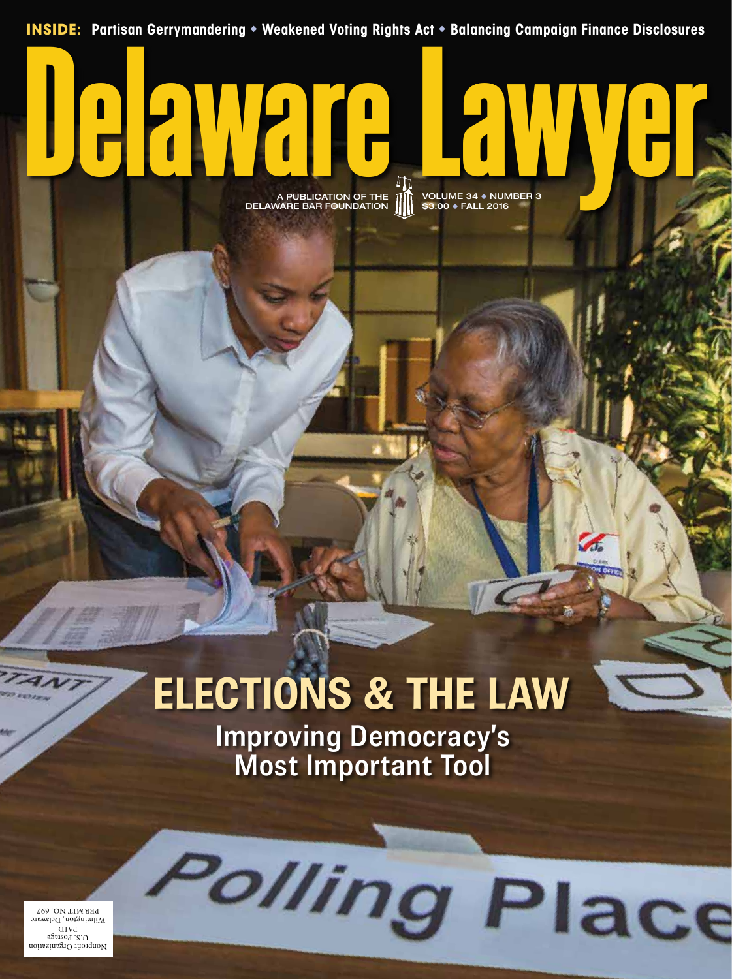**INSIDE:** Partisan Gerrymandering  $*$  Weakened Voting Rights Act  $*$  Balancing Campaign Finance Disclosures

# \$3.00 u FALL 2016 **Delaware Lawyer**

A PUBLICATION OF THE DELAWARE BAR FOUNDATION

VOLUME 34 ♦ NUMBER 3<br>\$3.00 ♦ FALL 2016

# **ELECTIONS & THE LAW** Improving Democracy's Most Important Tool

**Polling Place** 

Nonprofit Organization  $U.S.$  Postage .<br>תועד Wilmington, Delaware PERMIT NO. 697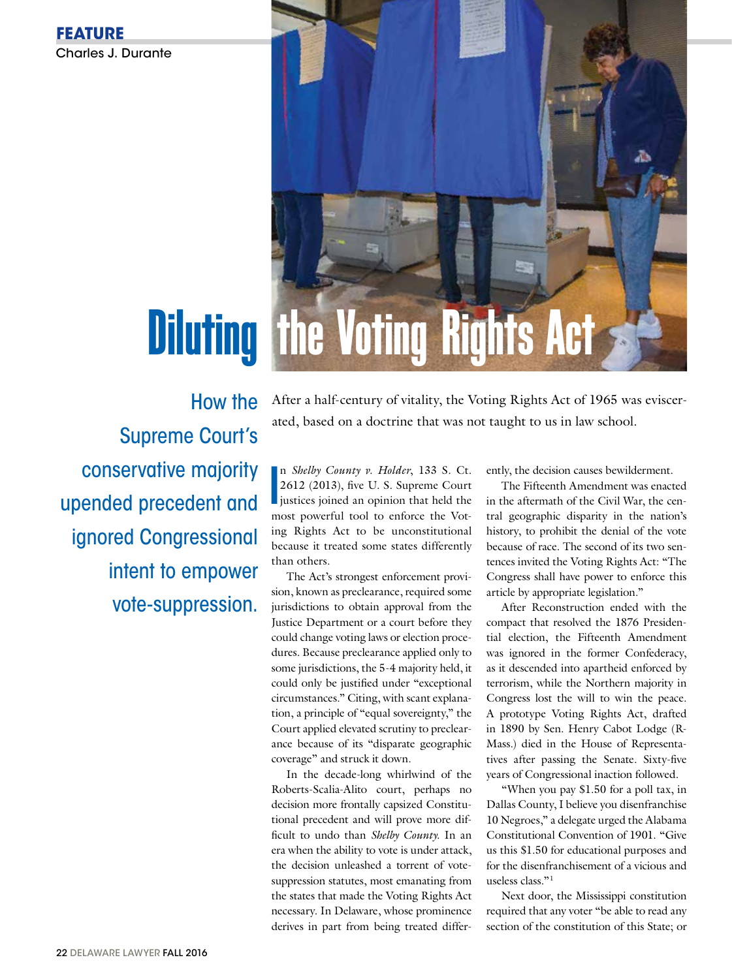# **FEATURE** Charles J. Durante



# How the Supreme Court's conservative majority upended precedent and ignored Congressional intent to empower vote-suppression.

After a half-century of vitality, the Voting Rights Act of 1965 was eviscerated, based on a doctrine that was not taught to us in law school.

**I** n *Shelby County v. Holder*, 133 S. Ct. 2612 (2013), five U. S. Supreme Court **i** justices joined an opinion that held the most powerful tool to enforce the Voting Rights Act to be unconstitutional because it treated some states differently than others.

The Act's strongest enforcement provision, known as preclearance, required some jurisdictions to obtain approval from the Justice Department or a court before they could change voting laws or election procedures. Because preclearance applied only to some jurisdictions, the 5-4 majority held, it could only be justified under "exceptional circumstances." Citing, with scant explanation, a principle of "equal sovereignty," the Court applied elevated scrutiny to preclearance because of its "disparate geographic coverage" and struck it down.

In the decade-long whirlwind of the Roberts-Scalia-Alito court, perhaps no decision more frontally capsized Constitutional precedent and will prove more difficult to undo than *Shelby County*. In an era when the ability to vote is under attack, the decision unleashed a torrent of votesuppression statutes, most emanating from the states that made the Voting Rights Act necessary. In Delaware, whose prominence derives in part from being treated differently, the decision causes bewilderment.

The Fifteenth Amendment was enacted in the aftermath of the Civil War, the central geographic disparity in the nation's history, to prohibit the denial of the vote because of race. The second of its two sentences invited the Voting Rights Act: "The Congress shall have power to enforce this article by appropriate legislation."

After Reconstruction ended with the compact that resolved the 1876 Presidential election, the Fifteenth Amendment was ignored in the former Confederacy, as it descended into apartheid enforced by terrorism, while the Northern majority in Congress lost the will to win the peace. A prototype Voting Rights Act, drafted in 1890 by Sen. Henry Cabot Lodge (R-Mass.) died in the House of Representatives after passing the Senate. Sixty-five years of Congressional inaction followed.

"When you pay \$1.50 for a poll tax, in Dallas County, I believe you disenfranchise 10 Negroes," a delegate urged the Alabama Constitutional Convention of 1901. "Give us this \$1.50 for educational purposes and for the disenfranchisement of a vicious and useless class."1

Next door, the Mississippi constitution required that any voter "be able to read any section of the constitution of this State; or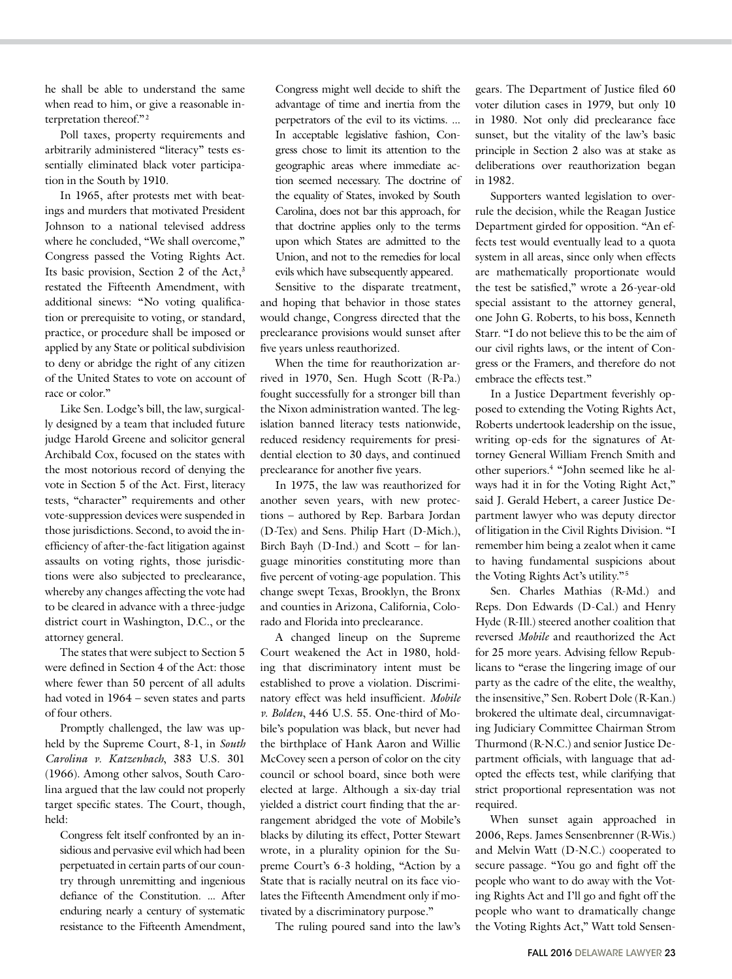he shall be able to understand the same when read to him, or give a reasonable interpretation thereof."2

Poll taxes, property requirements and arbitrarily administered "literacy" tests essentially eliminated black voter participation in the South by 1910.

In 1965, after protests met with beatings and murders that motivated President Johnson to a national televised address where he concluded, "We shall overcome," Congress passed the Voting Rights Act. Its basic provision, Section 2 of the Act,<sup>3</sup> restated the Fifteenth Amendment, with additional sinews: "No voting qualification or prerequisite to voting, or standard, practice, or procedure shall be imposed or applied by any State or political subdivision to deny or abridge the right of any citizen of the United States to vote on account of race or color."

Like Sen. Lodge's bill, the law, surgically designed by a team that included future judge Harold Greene and solicitor general Archibald Cox, focused on the states with the most notorious record of denying the vote in Section 5 of the Act. First, literacy tests, "character" requirements and other vote-suppression devices were suspended in those jurisdictions. Second, to avoid the inefficiency of after-the-fact litigation against assaults on voting rights, those jurisdictions were also subjected to preclearance, whereby any changes affecting the vote had to be cleared in advance with a three-judge district court in Washington, D.C., or the attorney general.

The states that were subject to Section 5 were defined in Section 4 of the Act: those where fewer than 50 percent of all adults had voted in 1964 – seven states and parts of four others.

Promptly challenged, the law was upheld by the Supreme Court, 8-1, in *South Carolina v. Katzenbach*, 383 U.S. 301 (1966). Among other salvos, South Carolina argued that the law could not properly target specific states. The Court, though, held:

Congress felt itself confronted by an insidious and pervasive evil which had been perpetuated in certain parts of our country through unremitting and ingenious defiance of the Constitution. ... After enduring nearly a century of systematic resistance to the Fifteenth Amendment,

Congress might well decide to shift the advantage of time and inertia from the perpetrators of the evil to its victims. ... In acceptable legislative fashion, Congress chose to limit its attention to the geographic areas where immediate action seemed necessary. The doctrine of the equality of States, invoked by South Carolina, does not bar this approach, for that doctrine applies only to the terms upon which States are admitted to the Union, and not to the remedies for local evils which have subsequently appeared.

Sensitive to the disparate treatment, and hoping that behavior in those states would change, Congress directed that the preclearance provisions would sunset after five years unless reauthorized.

When the time for reauthorization arrived in 1970, Sen. Hugh Scott (R-Pa.) fought successfully for a stronger bill than the Nixon administration wanted. The legislation banned literacy tests nationwide, reduced residency requirements for presidential election to 30 days, and continued preclearance for another five years.

In 1975, the law was reauthorized for another seven years, with new protections – authored by Rep. Barbara Jordan (D-Tex) and Sens. Philip Hart (D-Mich.), Birch Bayh (D-Ind.) and Scott – for language minorities constituting more than five percent of voting-age population. This change swept Texas, Brooklyn, the Bronx and counties in Arizona, California, Colorado and Florida into preclearance.

A changed lineup on the Supreme Court weakened the Act in 1980, holding that discriminatory intent must be established to prove a violation. Discriminatory effect was held insufficient. *Mobile v. Bolden*, 446 U.S. 55. One-third of Mobile's population was black, but never had the birthplace of Hank Aaron and Willie McCovey seen a person of color on the city council or school board, since both were elected at large. Although a six-day trial yielded a district court finding that the arrangement abridged the vote of Mobile's blacks by diluting its effect, Potter Stewart wrote, in a plurality opinion for the Supreme Court's 6-3 holding, "Action by a State that is racially neutral on its face violates the Fifteenth Amendment only if motivated by a discriminatory purpose."

The ruling poured sand into the law's

gears. The Department of Justice filed 60 voter dilution cases in 1979, but only 10 in 1980. Not only did preclearance face sunset, but the vitality of the law's basic principle in Section 2 also was at stake as deliberations over reauthorization began in 1982.

Supporters wanted legislation to overrule the decision, while the Reagan Justice Department girded for opposition. "An effects test would eventually lead to a quota system in all areas, since only when effects are mathematically proportionate would the test be satisfied," wrote a 26-year-old special assistant to the attorney general, one John G. Roberts, to his boss, Kenneth Starr. "I do not believe this to be the aim of our civil rights laws, or the intent of Congress or the Framers, and therefore do not embrace the effects test."

In a Justice Department feverishly opposed to extending the Voting Rights Act, Roberts undertook leadership on the issue, writing op-eds for the signatures of Attorney General William French Smith and other superiors.4 "John seemed like he always had it in for the Voting Right Act," said J. Gerald Hebert, a career Justice Department lawyer who was deputy director of litigation in the Civil Rights Division. "I remember him being a zealot when it came to having fundamental suspicions about the Voting Rights Act's utility."5

Sen. Charles Mathias (R-Md.) and Reps. Don Edwards (D-Cal.) and Henry Hyde (R-Ill.) steered another coalition that reversed *Mobile* and reauthorized the Act for 25 more years. Advising fellow Republicans to "erase the lingering image of our party as the cadre of the elite, the wealthy, the insensitive," Sen. Robert Dole (R-Kan.) brokered the ultimate deal, circumnavigating Judiciary Committee Chairman Strom Thurmond (R-N.C.) and senior Justice Department officials, with language that adopted the effects test, while clarifying that strict proportional representation was not required.

When sunset again approached in 2006, Reps. James Sensenbrenner (R-Wis.) and Melvin Watt (D-N.C.) cooperated to secure passage. "You go and fight off the people who want to do away with the Voting Rights Act and I'll go and fight off the people who want to dramatically change the Voting Rights Act," Watt told Sensen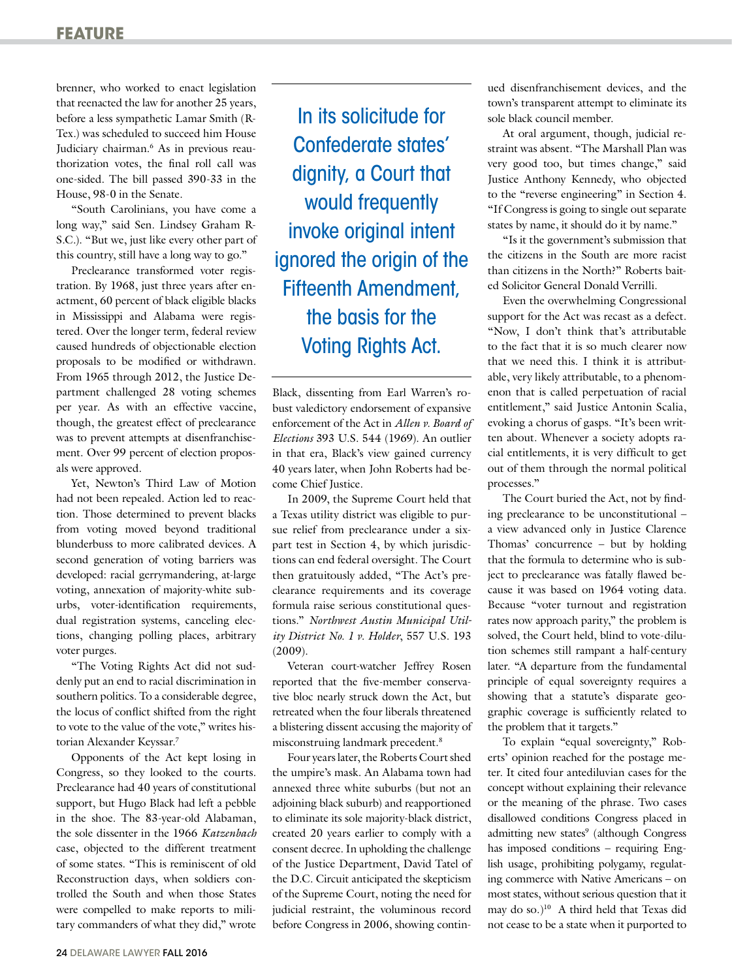brenner, who worked to enact legislation that reenacted the law for another 25 years, before a less sympathetic Lamar Smith (R-Tex.) was scheduled to succeed him House Judiciary chairman.<sup>6</sup> As in previous reauthorization votes, the final roll call was one-sided. The bill passed 390-33 in the House, 98-0 in the Senate.

"South Carolinians, you have come a long way," said Sen. Lindsey Graham R-S.C.). "But we, just like every other part of this country, still have a long way to go."

Preclearance transformed voter registration. By 1968, just three years after enactment, 60 percent of black eligible blacks in Mississippi and Alabama were registered. Over the longer term, federal review caused hundreds of objectionable election proposals to be modified or withdrawn. From 1965 through 2012, the Justice Department challenged 28 voting schemes per year. As with an effective vaccine, though, the greatest effect of preclearance was to prevent attempts at disenfranchisement. Over 99 percent of election proposals were approved.

Yet, Newton's Third Law of Motion had not been repealed. Action led to reaction. Those determined to prevent blacks from voting moved beyond traditional blunderbuss to more calibrated devices. A second generation of voting barriers was developed: racial gerrymandering, at-large voting, annexation of majority-white suburbs, voter-identification requirements, dual registration systems, canceling elections, changing polling places, arbitrary voter purges.

"The Voting Rights Act did not suddenly put an end to racial discrimination in southern politics. To a considerable degree, the locus of conflict shifted from the right to vote to the value of the vote," writes historian Alexander Keyssar.7

Opponents of the Act kept losing in Congress, so they looked to the courts. Preclearance had 40 years of constitutional support, but Hugo Black had left a pebble in the shoe. The 83-year-old Alabaman, the sole dissenter in the 1966 *Katzenbach* case, objected to the different treatment of some states. "This is reminiscent of old Reconstruction days, when soldiers controlled the South and when those States were compelled to make reports to military commanders of what they did," wrote

In its solicitude for Confederate states' dignity, a Court that would frequently invoke original intent ignored the origin of the Fifteenth Amendment, the basis for the Voting Rights Act.

Black, dissenting from Earl Warren's robust valedictory endorsement of expansive enforcement of the Act in *Allen v. Board of Elections* 393 U.S. 544 (1969). An outlier in that era, Black's view gained currency 40 years later, when John Roberts had become Chief Justice.

In 2009, the Supreme Court held that a Texas utility district was eligible to pursue relief from preclearance under a sixpart test in Section 4, by which jurisdictions can end federal oversight. The Court then gratuitously added, "The Act's preclearance requirements and its coverage formula raise serious constitutional questions." *Northwest Austin Municipal Utility District No. 1 v. Holder*, 557 U.S. 193 (2009).

Veteran court-watcher Jeffrey Rosen reported that the five-member conservative bloc nearly struck down the Act, but retreated when the four liberals threatened a blistering dissent accusing the majority of misconstruing landmark precedent.8

Four years later, the Roberts Court shed the umpire's mask. An Alabama town had annexed three white suburbs (but not an adjoining black suburb) and reapportioned to eliminate its sole majority-black district, created 20 years earlier to comply with a consent decree. In upholding the challenge of the Justice Department, David Tatel of the D.C. Circuit anticipated the skepticism of the Supreme Court, noting the need for judicial restraint, the voluminous record before Congress in 2006, showing continued disenfranchisement devices, and the town's transparent attempt to eliminate its sole black council member.

At oral argument, though, judicial restraint was absent. "The Marshall Plan was very good too, but times change," said Justice Anthony Kennedy, who objected to the "reverse engineering" in Section 4. "If Congress is going to single out separate states by name, it should do it by name."

"Is it the government's submission that the citizens in the South are more racist than citizens in the North?" Roberts baited Solicitor General Donald Verrilli.

Even the overwhelming Congressional support for the Act was recast as a defect. "Now, I don't think that's attributable to the fact that it is so much clearer now that we need this. I think it is attributable, very likely attributable, to a phenomenon that is called perpetuation of racial entitlement," said Justice Antonin Scalia, evoking a chorus of gasps. "It's been written about. Whenever a society adopts racial entitlements, it is very difficult to get out of them through the normal political processes."

The Court buried the Act, not by finding preclearance to be unconstitutional – a view advanced only in Justice Clarence Thomas' concurrence – but by holding that the formula to determine who is subject to preclearance was fatally flawed because it was based on 1964 voting data. Because "voter turnout and registration rates now approach parity," the problem is solved, the Court held, blind to vote-dilution schemes still rampant a half-century later. "A departure from the fundamental principle of equal sovereignty requires a showing that a statute's disparate geographic coverage is sufficiently related to the problem that it targets."

To explain "equal sovereignty," Roberts' opinion reached for the postage meter. It cited four antediluvian cases for the concept without explaining their relevance or the meaning of the phrase. Two cases disallowed conditions Congress placed in admitting new states<sup>9</sup> (although Congress has imposed conditions – requiring English usage, prohibiting polygamy, regulating commerce with Native Americans – on most states, without serious question that it may do so.)<sup>10</sup> A third held that Texas did not cease to be a state when it purported to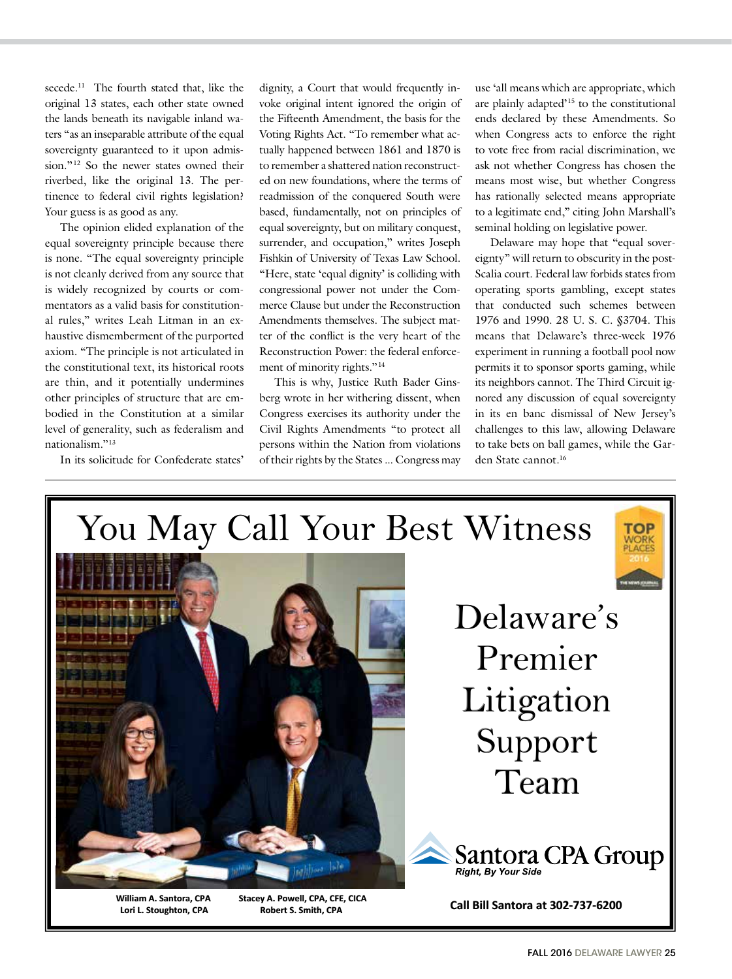secede.<sup>11</sup> The fourth stated that, like the original 13 states, each other state owned the lands beneath its navigable inland waters "as an inseparable attribute of the equal sovereignty guaranteed to it upon admission."<sup>12</sup> So the newer states owned their riverbed, like the original 13. The pertinence to federal civil rights legislation? Your guess is as good as any.

The opinion elided explanation of the equal sovereignty principle because there is none. "The equal sovereignty principle is not cleanly derived from any source that is widely recognized by courts or commentators as a valid basis for constitutional rules," writes Leah Litman in an exhaustive dismemberment of the purported axiom. "The principle is not articulated in the constitutional text, its historical roots are thin, and it potentially undermines other principles of structure that are embodied in the Constitution at a similar level of generality, such as federalism and nationalism."13

In its solicitude for Confederate states'

dignity, a Court that would frequently invoke original intent ignored the origin of the Fifteenth Amendment, the basis for the Voting Rights Act. "To remember what actually happened between 1861 and 1870 is to remember a shattered nation reconstructed on new foundations, where the terms of readmission of the conquered South were based, fundamentally, not on principles of equal sovereignty, but on military conquest, surrender, and occupation," writes Joseph Fishkin of University of Texas Law School. "Here, state 'equal dignity' is colliding with congressional power not under the Commerce Clause but under the Reconstruction Amendments themselves. The subject matter of the conflict is the very heart of the Reconstruction Power: the federal enforcement of minority rights."<sup>14</sup>

This is why, Justice Ruth Bader Ginsberg wrote in her withering dissent, when Congress exercises its authority under the Civil Rights Amendments "to protect all persons within the Nation from violations of their rights by the States ... Congress may

use 'all means which are appropriate, which are plainly adapted'15 to the constitutional ends declared by these Amendments. So when Congress acts to enforce the right to vote free from racial discrimination, we ask not whether Congress has chosen the means most wise, but whether Congress has rationally selected means appropriate to a legitimate end," citing John Marshall's seminal holding on legislative power.

Delaware may hope that "equal sovereignty" will return to obscurity in the post-Scalia court. Federal law forbids states from operating sports gambling, except states that conducted such schemes between 1976 and 1990. 28 U. S. C. §3704. This means that Delaware's three-week 1976 experiment in running a football pool now permits it to sponsor sports gaming, while its neighbors cannot. The Third Circuit ignored any discussion of equal sovereignty in its en banc dismissal of New Jersey's challenges to this law, allowing Delaware to take bets on ball games, while the Garden State cannot.<sup>16</sup>